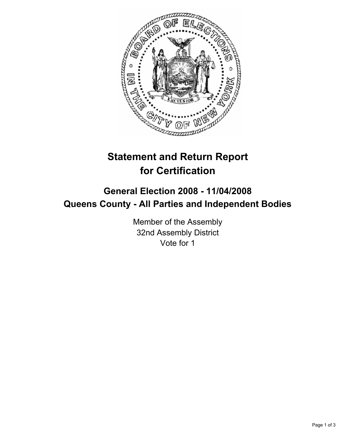

# **Statement and Return Report for Certification**

## **General Election 2008 - 11/04/2008 Queens County - All Parties and Independent Bodies**

Member of the Assembly 32nd Assembly District Vote for 1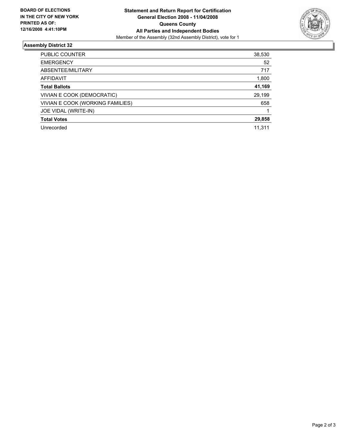

#### **Assembly District 32**

| 52<br><b>EMERGENCY</b><br>ABSENTEE/MILITARY<br>717 |
|----------------------------------------------------|
|                                                    |
|                                                    |
| 1,800<br>AFFIDAVIT                                 |
| 41,169<br><b>Total Ballots</b>                     |
| 29,199<br>VIVIAN E COOK (DEMOCRATIC)               |
| VIVIAN E COOK (WORKING FAMILIES)<br>658            |
| JOE VIDAL (WRITE-IN)                               |
| 29,858<br><b>Total Votes</b>                       |
| Unrecorded<br>11,311                               |